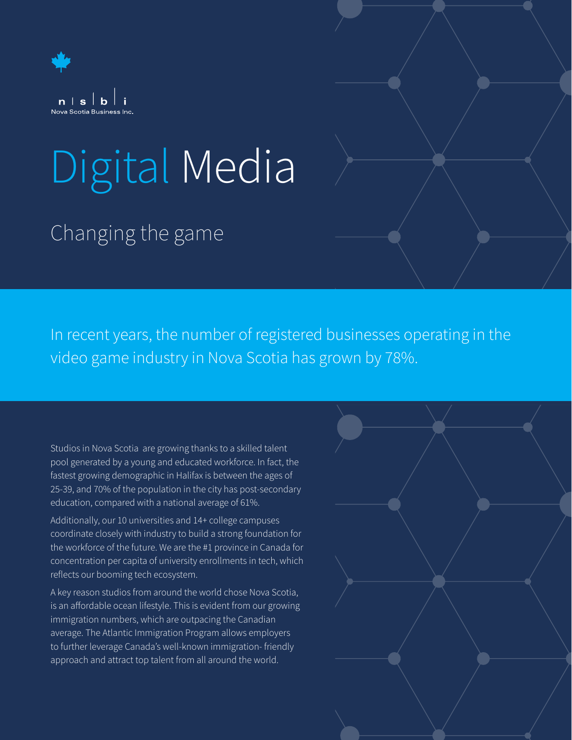

# Digital Media

## Changing the game

In recent years, the number of registered businesses operating in the video game industry in Nova Scotia has grown by 78%.

Studios in Nova Scotia are growing thanks to a skilled talent pool generated by a young and educated workforce. In fact, the fastest growing demographic in Halifax is between the ages of 25-39, and 70% of the population in the city has post-secondary education, compared with a national average of 61%.

Additionally, our 10 universities and 14+ college campuses coordinate closely with industry to build a strong foundation for the workforce of the future. We are the #1 province in Canada for concentration per capita of university enrollments in tech, which reflects our booming tech ecosystem.

A key reason studios from around the world chose Nova Scotia, is an affordable ocean lifestyle. This is evident from our growing immigration numbers, which are outpacing the Canadian average. The Atlantic Immigration Program allows employers to further leverage Canada's well-known immigration- friendly approach and attract top talent from all around the world.